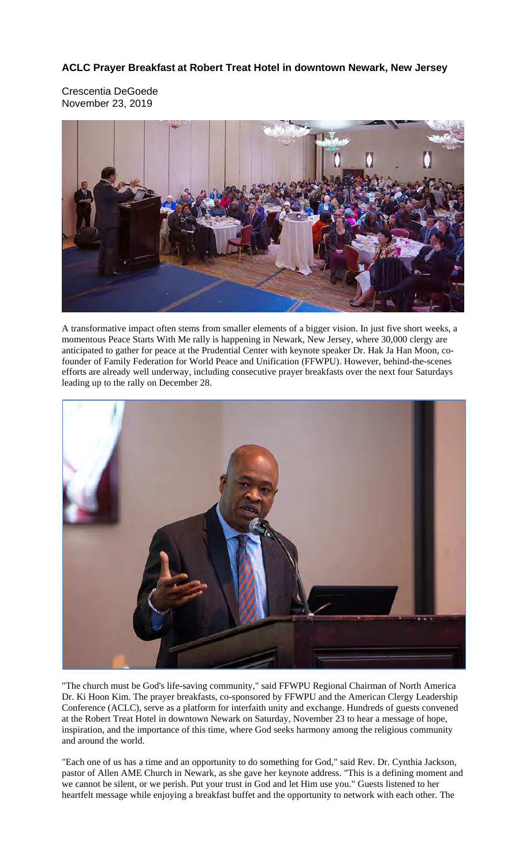## **ACLC Prayer Breakfast at Robert Treat Hotel in downtown Newark, New Jersey**

Crescentia DeGoede November 23, 2019



A transformative impact often stems from smaller elements of a bigger vision. In just five short weeks, a momentous Peace Starts With Me rally is happening in Newark, New Jersey, where 30,000 clergy are anticipated to gather for peace at the Prudential Center with keynote speaker Dr. Hak Ja Han Moon, cofounder of Family Federation for World Peace and Unification (FFWPU). However, behind-the-scenes efforts are already well underway, including consecutive prayer breakfasts over the next four Saturdays leading up to the rally on December 28.



"The church must be God's life-saving community," said FFWPU Regional Chairman of North America Dr. Ki Hoon Kim. The prayer breakfasts, co-sponsored by FFWPU and the American Clergy Leadership Conference (ACLC), serve as a platform for interfaith unity and exchange. Hundreds of guests convened at the Robert Treat Hotel in downtown Newark on Saturday, November 23 to hear a message of hope, inspiration, and the importance of this time, where God seeks harmony among the religious community and around the world.

"Each one of us has a time and an opportunity to do something for God," said Rev. Dr. Cynthia Jackson, pastor of Allen AME Church in Newark, as she gave her keynote address. "This is a defining moment and we cannot be silent, or we perish. Put your trust in God and let Him use you." Guests listened to her heartfelt message while enjoying a breakfast buffet and the opportunity to network with each other. The